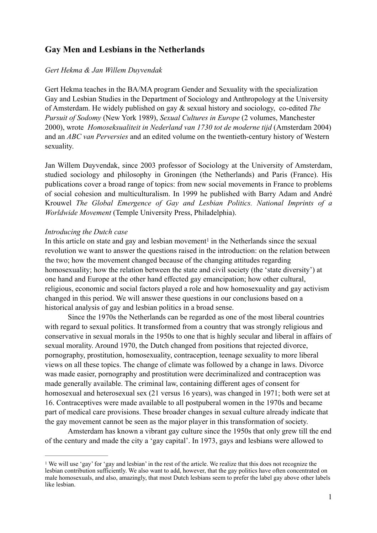# **Gay Men and Lesbians in the Netherlands**

# *Gert Hekma & Jan Willem Duyvendak*

Gert Hekma teaches in the BA/MA program Gender and Sexuality with the specialization Gay and Lesbian Studies in the Department of Sociology and Anthropology at the University of Amsterdam. He widely published on gay & sexual history and sociology, co-edited *The Pursuit of Sodomy* (New York 1989), *Sexual Cultures in Europe* (2 volumes, Manchester 2000), wrote *Homoseksualiteit in Nederland van 1730 tot de moderne tijd* (Amsterdam 2004) and an *ABC van Perversies* and an edited volume on the twentieth-century history of Western sexuality.

Jan Willem Duyvendak, since 2003 professor of Sociology at the University of Amsterdam, studied sociology and philosophy in Groningen (the Netherlands) and Paris (France). His publications cover a broad range of topics: from new social movements in France to problems of social cohesion and multiculturalism. In 1999 he published with Barry Adam and André Krouwel *The Global Emergence of Gay and Lesbian Politics. National Imprints of a Worldwide Movement* (Temple University Press, Philadelphia).

### *Introducing the Dutch case*

<span id="page-0-1"></span>Inthis article on state and gay and lesbian movement<sup>[1](#page-0-0)</sup> in the Netherlands since the sexual revolution we want to answer the questions raised in the introduction: on the relation between the two; how the movement changed because of the changing attitudes regarding homosexuality; how the relation between the state and civil society (the 'state diversity') at one hand and Europe at the other hand effected gay emancipation; how other cultural, religious, economic and social factors played a role and how homosexuality and gay activism changed in this period. We will answer these questions in our conclusions based on a historical analysis of gay and lesbian politics in a broad sense.

 Since the 1970s the Netherlands can be regarded as one of the most liberal countries with regard to sexual politics. It transformed from a country that was strongly religious and conservative in sexual morals in the 1950s to one that is highly secular and liberal in affairs of sexual morality. Around 1970, the Dutch changed from positions that rejected divorce, pornography, prostitution, homosexuality, contraception, teenage sexuality to more liberal views on all these topics. The change of climate was followed by a change in laws. Divorce was made easier, pornography and prostitution were decriminalized and contraception was made generally available. The criminal law, containing different ages of consent for homosexual and heterosexual sex (21 versus 16 years), was changed in 1971; both were set at 16. Contraceptives were made available to all postpuberal women in the 1970s and became part of medical care provisions. These broader changes in sexual culture already indicate that the gay movement cannot be seen as the major player in this transformation of society.

Amsterdam has known a vibrant gay culture since the 1950s that only grew till the end of the century and made the city a 'gay capital'. In 1973, gays and lesbians were allowed to

<span id="page-0-0"></span>We will use 'gay' for 'gay and lesbian' in the rest of the article. We realize that this does not recognize the [1](#page-0-1) lesbian contribution sufficiently. We also want to add, however, that the gay politics have often concentrated on male homosexuals, and also, amazingly, that most Dutch lesbians seem to prefer the label gay above other labels like lesbian.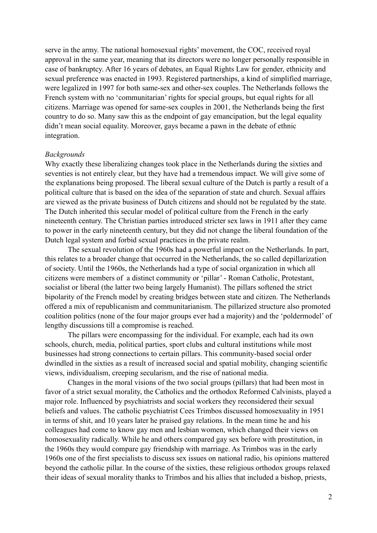serve in the army. The national homosexual rights' movement, the COC, received royal approval in the same year, meaning that its directors were no longer personally responsible in case of bankruptcy. After 16 years of debates, an Equal Rights Law for gender, ethnicity and sexual preference was enacted in 1993. Registered partnerships, a kind of simplified marriage, were legalized in 1997 for both same-sex and other-sex couples. The Netherlands follows the French system with no 'communitarian' rights for special groups, but equal rights for all citizens. Marriage was opened for same-sex couples in 2001, the Netherlands being the first country to do so. Many saw this as the endpoint of gay emancipation, but the legal equality didn't mean social equality. Moreover, gays became a pawn in the debate of ethnic integration.

#### *Backgrounds*

Why exactly these liberalizing changes took place in the Netherlands during the sixties and seventies is not entirely clear, but they have had a tremendous impact. We will give some of the explanations being proposed. The liberal sexual culture of the Dutch is partly a result of a political culture that is based on the idea of the separation of state and church. Sexual affairs are viewed as the private business of Dutch citizens and should not be regulated by the state. The Dutch inherited this secular model of political culture from the French in the early nineteenth century. The Christian parties introduced stricter sex laws in 1911 after they came to power in the early nineteenth century, but they did not change the liberal foundation of the Dutch legal system and forbid sexual practices in the private realm.

The sexual revolution of the 1960s had a powerful impact on the Netherlands. In part, this relates to a broader change that occurred in the Netherlands, the so called depillarization of society. Until the 1960s, the Netherlands had a type of social organization in which all citizens were members of a distinct community or 'pillar' - Roman Catholic, Protestant, socialist or liberal (the latter two being largely Humanist). The pillars softened the strict bipolarity of the French model by creating bridges between state and citizen. The Netherlands offered a mix of republicanism and communitarianism. The pillarized structure also promoted coalition politics (none of the four major groups ever had a majority) and the 'poldermodel' of lengthy discussions till a compromise is reached.

 The pillars were encompassing for the individual. For example, each had its own schools, church, media, political parties, sport clubs and cultural institutions while most businesses had strong connections to certain pillars. This community-based social order dwindled in the sixties as a result of increased social and spatial mobility, changing scientific views, individualism, creeping secularism, and the rise of national media.

 Changes in the moral visions of the two social groups (pillars) that had been most in favor of a strict sexual morality, the Catholics and the orthodox Reformed Calvinists, played a major role. Influenced by psychiatrists and social workers they reconsidered their sexual beliefs and values. The catholic psychiatrist Cees Trimbos discussed homosexuality in 1951 in terms of shit, and 10 years later he praised gay relations. In the mean time he and his colleagues had come to know gay men and lesbian women, which changed their views on homosexuality radically. While he and others compared gay sex before with prostitution, in the 1960s they would compare gay friendship with marriage. As Trimbos was in the early 1960s one of the first specialists to discuss sex issues on national radio, his opinions mattered beyond the catholic pillar. In the course of the sixties, these religious orthodox groups relaxed their ideas of sexual morality thanks to Trimbos and his allies that included a bishop, priests,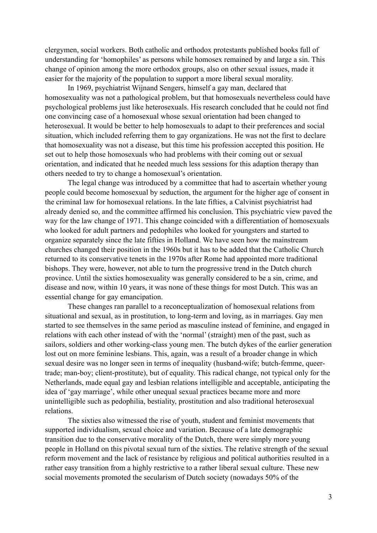clergymen, social workers. Both catholic and orthodox protestants published books full of understanding for 'homophiles' as persons while homosex remained by and large a sin. This change of opinion among the more orthodox groups, also on other sexual issues, made it easier for the majority of the population to support a more liberal sexual morality.

 In 1969, psychiatrist Wijnand Sengers, himself a gay man, declared that homosexuality was not a pathological problem, but that homosexuals nevertheless could have psychological problems just like heterosexuals. His research concluded that he could not find one convincing case of a homosexual whose sexual orientation had been changed to heterosexual. It would be better to help homosexuals to adapt to their preferences and social situation, which included referring them to gay organizations. He was not the first to declare that homosexuality was not a disease, but this time his profession accepted this position. He set out to help those homosexuals who had problems with their coming out or sexual orientation, and indicated that he needed much less sessions for this adaption therapy than others needed to try to change a homosexual's orientation.

 The legal change was introduced by a committee that had to ascertain whether young people could become homosexual by seduction, the argument for the higher age of consent in the criminal law for homosexual relations. In the late fifties, a Calvinist psychiatrist had already denied so, and the committee affirmed his conclusion. This psychiatric view paved the way for the law change of 1971. This change coincided with a differentiation of homosexuals who looked for adult partners and pedophiles who looked for youngsters and started to organize separately since the late fifties in Holland. We have seen how the mainstream churches changed their position in the 1960s but it has to be added that the Catholic Church returned to its conservative tenets in the 1970s after Rome had appointed more traditional bishops. They were, however, not able to turn the progressive trend in the Dutch church province. Until the sixties homosexuality was generally considered to be a sin, crime, and disease and now, within 10 years, it was none of these things for most Dutch. This was an essential change for gay emancipation.

These changes ran parallel to a reconceptualization of homosexual relations from situational and sexual, as in prostitution, to long-term and loving, as in marriages. Gay men started to see themselves in the same period as masculine instead of feminine, and engaged in relations with each other instead of with the 'normal' (straight) men of the past, such as sailors, soldiers and other working-class young men. The butch dykes of the earlier generation lost out on more feminine lesbians. This, again, was a result of a broader change in which sexual desire was no longer seen in terms of inequality (husband-wife; butch-femme, queertrade; man-boy; client-prostitute), but of equality. This radical change, not typical only for the Netherlands, made equal gay and lesbian relations intelligible and acceptable, anticipating the idea of 'gay marriage', while other unequal sexual practices became more and more unintelligible such as pedophilia, bestiality, prostitution and also traditional heterosexual relations.

The sixties also witnessed the rise of youth, student and feminist movements that supported individualism, sexual choice and variation. Because of a late demographic transition due to the conservative morality of the Dutch, there were simply more young people in Holland on this pivotal sexual turn of the sixties. The relative strength of the sexual reform movement and the lack of resistance by religious and political authorities resulted in a rather easy transition from a highly restrictive to a rather liberal sexual culture. These new social movements promoted the secularism of Dutch society (nowadays 50% of the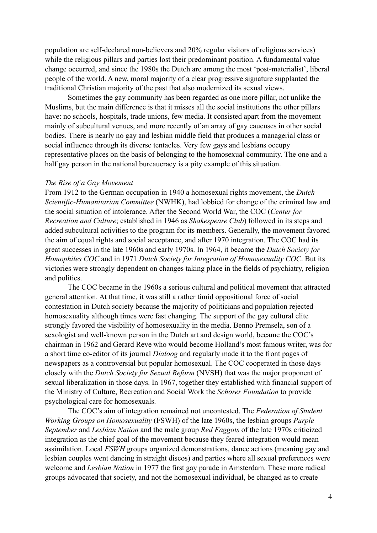population are self-declared non-believers and 20% regular visitors of religious services) while the religious pillars and parties lost their predominant position. A fundamental value change occurred, and since the 1980s the Dutch are among the most 'post-materialist', liberal people of the world. A new, moral majority of a clear progressive signature supplanted the traditional Christian majority of the past that also modernized its sexual views.

 Sometimes the gay community has been regarded as one more pillar, not unlike the Muslims, but the main difference is that it misses all the social institutions the other pillars have: no schools, hospitals, trade unions, few media. It consisted apart from the movement mainly of subcultural venues, and more recently of an array of gay caucuses in other social bodies. There is nearly no gay and lesbian middle field that produces a managerial class or social influence through its diverse tentacles. Very few gays and lesbians occupy representative places on the basis of belonging to the homosexual community. The one and a half gay person in the national bureaucracy is a pity example of this situation.

#### *The Rise of a Gay Movement*

From 1912 to the German occupation in 1940 a homosexual rights movement, the *Dutch Scientific-Humanitarian Committee* (NWHK), had lobbied for change of the criminal law and the social situation of intolerance. After the Second World War, the COC (*Center for Recreation and Culture*; established in 1946 as *Shakespeare Club*) followed in its steps and added subcultural activities to the program for its members. Generally, the movement favored the aim of equal rights and social acceptance, and after 1970 integration. The COC had its great successes in the late 1960s and early 1970s. In 1964, it became the *Dutch Society for Homophiles COC* and in 1971 *Dutch Society for Integration of Homosexuality COC*. But its victories were strongly dependent on changes taking place in the fields of psychiatry, religion and politics.

 The COC became in the 1960s a serious cultural and political movement that attracted general attention. At that time, it was still a rather timid oppositional force of social contestation in Dutch society because the majority of politicians and population rejected homosexuality although times were fast changing. The support of the gay cultural elite strongly favored the visibility of homosexuality in the media. Benno Premsela, son of a sexologist and well-known person in the Dutch art and design world, became the COC's chairman in 1962 and Gerard Reve who would become Holland's most famous writer, was for a short time co-editor of its journal *Dialoog* and regularly made it to the front pages of newspapers as a controversial but popular homosexual. The COC cooperated in those days closely with the *Dutch Society for Sexual Reform* (NVSH) that was the major proponent of sexual liberalization in those days. In 1967, together they established with financial support of the Ministry of Culture, Recreation and Social Work the *Schorer Foundation* to provide psychological care for homosexuals.

 The COC's aim of integration remained not uncontested. The *Federation of Student Working Groups on Homosexuality* (FSWH) of the late 1960s, the lesbian groups *Purple September* and *Lesbian Nation* and the male group *Red Faggots* of the late 1970s criticized integration as the chief goal of the movement because they feared integration would mean assimilation. Local *FSWH* groups organized demonstrations, dance actions (meaning gay and lesbian couples went dancing in straight discos) and parties where all sexual preferences were welcome and *Lesbian Nation* in 1977 the first gay parade in Amsterdam. These more radical groups advocated that society, and not the homosexual individual, be changed as to create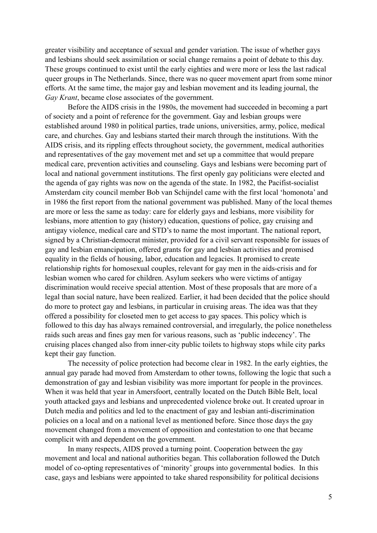greater visibility and acceptance of sexual and gender variation. The issue of whether gays and lesbians should seek assimilation or social change remains a point of debate to this day. These groups continued to exist until the early eighties and were more or less the last radical queer groups in The Netherlands. Since, there was no queer movement apart from some minor efforts. At the same time, the major gay and lesbian movement and its leading journal, the *Gay Krant*, became close associates of the government.

Before the AIDS crisis in the 1980s, the movement had succeeded in becoming a part of society and a point of reference for the government. Gay and lesbian groups were established around 1980 in political parties, trade unions, universities, army, police, medical care, and churches. Gay and lesbians started their march through the institutions. With the AIDS crisis, and its rippling effects throughout society, the government, medical authorities and representatives of the gay movement met and set up a committee that would prepare medical care, prevention activities and counseling. Gays and lesbians were becoming part of local and national government institutions. The first openly gay politicians were elected and the agenda of gay rights was now on the agenda of the state. In 1982, the Pacifist-socialist Amsterdam city council member Bob van Schijndel came with the first local 'homonota' and in 1986 the first report from the national government was published. Many of the local themes are more or less the same as today: care for elderly gays and lesbians, more visibility for lesbians, more attention to gay (history) education, questions of police, gay cruising and antigay violence, medical care and STD's to name the most important. The national report, signed by a Christian-democrat minister, provided for a civil servant responsible for issues of gay and lesbian emancipation, offered grants for gay and lesbian activities and promised equality in the fields of housing, labor, education and legacies. It promised to create relationship rights for homosexual couples, relevant for gay men in the aids-crisis and for lesbian women who cared for children. Asylum seekers who were victims of antigay discrimination would receive special attention. Most of these proposals that are more of a legal than social nature, have been realized. Earlier, it had been decided that the police should do more to protect gay and lesbians, in particular in cruising areas. The idea was that they offered a possibility for closeted men to get access to gay spaces. This policy which is followed to this day has always remained controversial, and irregularly, the police nonetheless raids such areas and fines gay men for various reasons, such as 'public indecency'. The cruising places changed also from inner-city public toilets to highway stops while city parks kept their gay function.

 The necessity of police protection had become clear in 1982. In the early eighties, the annual gay parade had moved from Amsterdam to other towns, following the logic that such a demonstration of gay and lesbian visibility was more important for people in the provinces. When it was held that year in Amersfoort, centrally located on the Dutch Bible Belt, local youth attacked gays and lesbians and unprecedented violence broke out. It created uproar in Dutch media and politics and led to the enactment of gay and lesbian anti-discrimination policies on a local and on a national level as mentioned before. Since those days the gay movement changed from a movement of opposition and contestation to one that became complicit with and dependent on the government.

In many respects, AIDS proved a turning point. Cooperation between the gay movement and local and national authorities began. This collaboration followed the Dutch model of co-opting representatives of 'minority' groups into governmental bodies. In this case, gays and lesbians were appointed to take shared responsibility for political decisions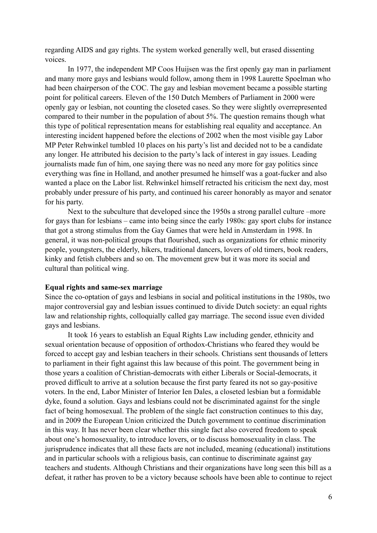regarding AIDS and gay rights. The system worked generally well, but erased dissenting voices.

 In 1977, the independent MP Coos Huijsen was the first openly gay man in parliament and many more gays and lesbians would follow, among them in 1998 Laurette Spoelman who had been chairperson of the COC. The gay and lesbian movement became a possible starting point for political careers. Eleven of the 150 Dutch Members of Parliament in 2000 were openly gay or lesbian, not counting the closeted cases. So they were slightly overrepresented compared to their number in the population of about 5%. The question remains though what this type of political representation means for establishing real equality and acceptance. An interesting incident happened before the elections of 2002 when the most visible gay Labor MP Peter Rehwinkel tumbled 10 places on his party's list and decided not to be a candidate any longer. He attributed his decision to the party's lack of interest in gay issues. Leading journalists made fun of him, one saying there was no need any more for gay politics since everything was fine in Holland, and another presumed he himself was a goat-fucker and also wanted a place on the Labor list. Rehwinkel himself retracted his criticism the next day, most probably under pressure of his party, and continued his career honorably as mayor and senator for his party.

Next to the subculture that developed since the 1950s a strong parallel culture –more for gays than for lesbians – came into being since the early 1980s: gay sport clubs for instance that got a strong stimulus from the Gay Games that were held in Amsterdam in 1998. In general, it was non-political groups that flourished, such as organizations for ethnic minority people, youngsters, the elderly, hikers, traditional dancers, lovers of old timers, book readers, kinky and fetish clubbers and so on. The movement grew but it was more its social and cultural than political wing.

# **Equal rights and same-sex marriage**

Since the co-optation of gays and lesbians in social and political institutions in the 1980s, two major controversial gay and lesbian issues continued to divide Dutch society: an equal rights law and relationship rights, colloquially called gay marriage. The second issue even divided gays and lesbians.

 It took 16 years to establish an Equal Rights Law including gender, ethnicity and sexual orientation because of opposition of orthodox-Christians who feared they would be forced to accept gay and lesbian teachers in their schools. Christians sent thousands of letters to parliament in their fight against this law because of this point. The government being in those years a coalition of Christian-democrats with either Liberals or Social-democrats, it proved difficult to arrive at a solution because the first party feared its not so gay-positive voters. In the end, Labor Minister of Interior Ien Dales, a closeted lesbian but a formidable dyke, found a solution. Gays and lesbians could not be discriminated against for the single fact of being homosexual. The problem of the single fact construction continues to this day, and in 2009 the European Union criticized the Dutch government to continue discrimination in this way. It has never been clear whether this single fact also covered freedom to speak about one's homosexuality, to introduce lovers, or to discuss homosexuality in class. The jurisprudence indicates that all these facts are not included, meaning (educational) institutions and in particular schools with a religious basis, can continue to discriminate against gay teachers and students. Although Christians and their organizations have long seen this bill as a defeat, it rather has proven to be a victory because schools have been able to continue to reject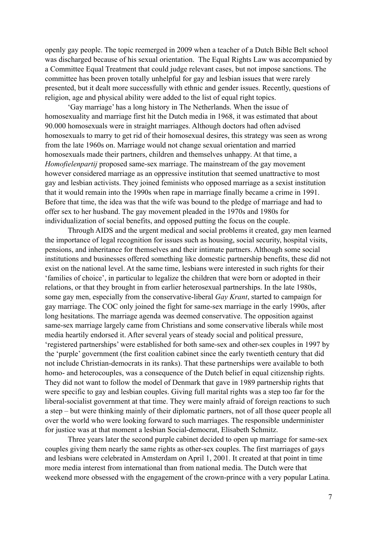openly gay people. The topic reemerged in 2009 when a teacher of a Dutch Bible Belt school was discharged because of his sexual orientation. The Equal Rights Law was accompanied by a Committee Equal Treatment that could judge relevant cases, but not impose sanctions. The committee has been proven totally unhelpful for gay and lesbian issues that were rarely presented, but it dealt more successfully with ethnic and gender issues. Recently, questions of religion, age and physical ability were added to the list of equal right topics.

 'Gay marriage' has a long history in The Netherlands. When the issue of homosexuality and marriage first hit the Dutch media in 1968, it was estimated that about 90.000 homosexuals were in straight marriages. Although doctors had often advised homosexuals to marry to get rid of their homosexual desires, this strategy was seen as wrong from the late 1960s on. Marriage would not change sexual orientation and married homosexuals made their partners, children and themselves unhappy. At that time, a *Homofielenpartij* proposed same-sex marriage. The mainstream of the gay movement however considered marriage as an oppressive institution that seemed unattractive to most gay and lesbian activists. They joined feminists who opposed marriage as a sexist institution that it would remain into the 1990s when rape in marriage finally became a crime in 1991. Before that time, the idea was that the wife was bound to the pledge of marriage and had to offer sex to her husband. The gay movement pleaded in the 1970s and 1980s for individualization of social benefits, and opposed putting the focus on the couple.

Through AIDS and the urgent medical and social problems it created, gay men learned the importance of legal recognition for issues such as housing, social security, hospital visits, pensions, and inheritance for themselves and their intimate partners. Although some social institutions and businesses offered something like domestic partnership benefits, these did not exist on the national level. At the same time, lesbians were interested in such rights for their 'families of choice', in particular to legalize the children that were born or adopted in their relations, or that they brought in from earlier heterosexual partnerships. In the late 1980s, some gay men, especially from the conservative-liberal *Gay Krant*, started to campaign for gay marriage. The COC only joined the fight for same-sex marriage in the early 1990s, after long hesitations. The marriage agenda was deemed conservative. The opposition against same-sex marriage largely came from Christians and some conservative liberals while most media heartily endorsed it. After several years of steady social and political pressure, 'registered partnerships' were established for both same-sex and other-sex couples in 1997 by the 'purple' government (the first coalition cabinet since the early twentieth century that did not include Christian-democrats in its ranks). That these partnerships were available to both homo- and heterocouples, was a consequence of the Dutch belief in equal citizenship rights. They did not want to follow the model of Denmark that gave in 1989 partnership rights that were specific to gay and lesbian couples. Giving full marital rights was a step too far for the liberal-socialist government at that time. They were mainly afraid of foreign reactions to such a step – but were thinking mainly of their diplomatic partners, not of all those queer people all over the world who were looking forward to such marriages. The responsible underminister for justice was at that moment a lesbian Social-democrat, Elisabeth Schmitz.

Three years later the second purple cabinet decided to open up marriage for same-sex couples giving them nearly the same rights as other-sex couples. The first marriages of gays and lesbians were celebrated in Amsterdam on April 1, 2001. It created at that point in time more media interest from international than from national media. The Dutch were that weekend more obsessed with the engagement of the crown-prince with a very popular Latina.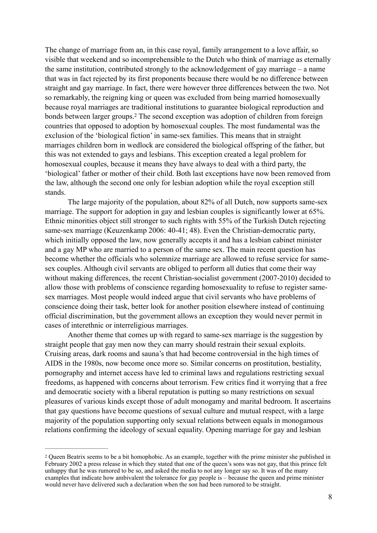<span id="page-7-1"></span>The change of marriage from an, in this case royal, family arrangement to a love affair, so visible that weekend and so incomprehensible to the Dutch who think of marriage as eternally the same institution, contributed strongly to the acknowledgement of gay marriage – a name that was in fact rejected by its first proponents because there would be no difference between straight and gay marriage. In fact, there were however three differences between the two. Not so remarkably, the reigning king or queen was excluded from being married homosexually because royal marriages are traditional institutions to guarantee biological reproduction and bonds between larger groups[.](#page-7-0)<sup>[2](#page-7-0)</sup> The second exception was adoption of children from foreign countries that opposed to adoption by homosexual couples. The most fundamental was the exclusion of the 'biological fiction' in same-sex families. This means that in straight marriages children born in wedlock are considered the biological offspring of the father, but this was not extended to gays and lesbians. This exception created a legal problem for homosexual couples, because it means they have always to deal with a third party, the 'biological' father or mother of their child. Both last exceptions have now been removed from the law, although the second one only for lesbian adoption while the royal exception still stands.

The large majority of the population, about 82% of all Dutch, now supports same-sex marriage. The support for adoption in gay and lesbian couples is significantly lower at 65%. Ethnic minorities object still stronger to such rights with 55% of the Turkish Dutch rejecting same-sex marriage (Keuzenkamp 2006: 40-41; 48). Even the Christian-democratic party, which initially opposed the law, now generally accepts it and has a lesbian cabinet minister and a gay MP who are married to a person of the same sex. The main recent question has become whether the officials who solemnize marriage are allowed to refuse service for samesex couples. Although civil servants are obliged to perform all duties that come their way without making differences, the recent Christian-socialist government (2007-2010) decided to allow those with problems of conscience regarding homosexuality to refuse to register samesex marriages. Most people would indeed argue that civil servants who have problems of conscience doing their task, better look for another position elsewhere instead of continuing official discrimination, but the government allows an exception they would never permit in cases of interethnic or interreligious marriages.

Another theme that comes up with regard to same-sex marriage is the suggestion by straight people that gay men now they can marry should restrain their sexual exploits. Cruising areas, dark rooms and sauna's that had become controversial in the high times of AIDS in the 1980s, now become once more so. Similar concerns on prostitution, bestiality, pornography and internet access have led to criminal laws and regulations restricting sexual freedoms, as happened with concerns about terrorism. Few critics find it worrying that a free and democratic society with a liberal reputation is putting so many restrictions on sexual pleasures of various kinds except those of adult monogamy and marital bedroom. It ascertains that gay questions have become questions of sexual culture and mutual respect, with a large majority of the population supporting only sexual relations between equals in monogamous relations confirming the ideology of sexual equality. Opening marriage for gay and lesbian

<span id="page-7-0"></span><sup>&</sup>lt;sup>[2](#page-7-1)</sup> Oueen Beatrix seems to be a bit homophobic. As an example, together with the prime minister she published in February 2002 a press release in which they stated that one of the queen's sons was not gay, that this prince felt unhappy that he was rumored to be so, and asked the media to not any longer say so. It was of the many examples that indicate how ambivalent the tolerance for gay people is – because the queen and prime minister would never have delivered such a declaration when the son had been rumored to be straight.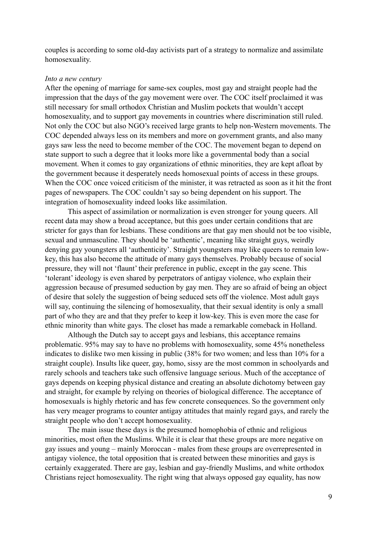couples is according to some old-day activists part of a strategy to normalize and assimilate homosexuality.

#### *Into a new century*

After the opening of marriage for same-sex couples, most gay and straight people had the impression that the days of the gay movement were over. The COC itself proclaimed it was still necessary for small orthodox Christian and Muslim pockets that wouldn't accept homosexuality, and to support gay movements in countries where discrimination still ruled. Not only the COC but also NGO's received large grants to help non-Western movements. The COC depended always less on its members and more on government grants, and also many gays saw less the need to become member of the COC. The movement began to depend on state support to such a degree that it looks more like a governmental body than a social movement. When it comes to gay organizations of ethnic minorities, they are kept afloat by the government because it desperately needs homosexual points of access in these groups. When the COC once voiced criticism of the minister, it was retracted as soon as it hit the front pages of newspapers. The COC couldn't say so being dependent on his support. The integration of homosexuality indeed looks like assimilation.

 This aspect of assimilation or normalization is even stronger for young queers. All recent data may show a broad acceptance, but this goes under certain conditions that are stricter for gays than for lesbians. These conditions are that gay men should not be too visible, sexual and unmasculine. They should be 'authentic', meaning like straight guys, weirdly denying gay youngsters all 'authenticity'. Straight youngsters may like queers to remain lowkey, this has also become the attitude of many gays themselves. Probably because of social pressure, they will not 'flaunt' their preference in public, except in the gay scene. This 'tolerant' ideology is even shared by perpetrators of antigay violence, who explain their aggression because of presumed seduction by gay men. They are so afraid of being an object of desire that solely the suggestion of being seduced sets off the violence. Most adult gays will say, continuing the silencing of homosexuality, that their sexual identity is only a small part of who they are and that they prefer to keep it low-key. This is even more the case for ethnic minority than white gays. The closet has made a remarkable comeback in Holland.

 Although the Dutch say to accept gays and lesbians, this acceptance remains problematic. 95% may say to have no problems with homosexuality, some 45% nonetheless indicates to dislike two men kissing in public (38% for two women; and less than 10% for a straight couple). Insults like queer, gay, homo, sissy are the most common in schoolyards and rarely schools and teachers take such offensive language serious. Much of the acceptance of gays depends on keeping physical distance and creating an absolute dichotomy between gay and straight, for example by relying on theories of biological difference. The acceptance of homosexuals is highly rhetoric and has few concrete consequences. So the government only has very meager programs to counter antigay attitudes that mainly regard gays, and rarely the straight people who don't accept homosexuality.

 The main issue these days is the presumed homophobia of ethnic and religious minorities, most often the Muslims. While it is clear that these groups are more negative on gay issues and young – mainly Moroccan - males from these groups are overrepresented in antigay violence, the total opposition that is created between these minorities and gays is certainly exaggerated. There are gay, lesbian and gay-friendly Muslims, and white orthodox Christians reject homosexuality. The right wing that always opposed gay equality, has now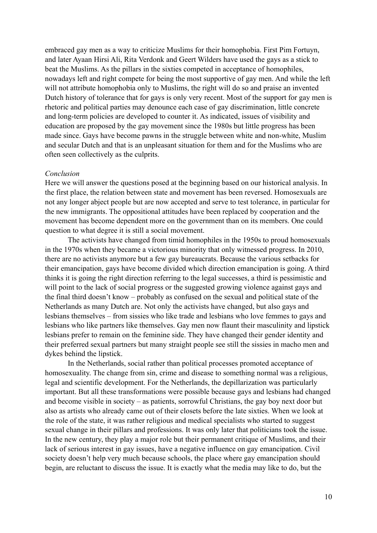embraced gay men as a way to criticize Muslims for their homophobia. First Pim Fortuyn, and later Ayaan Hirsi Ali, Rita Verdonk and Geert Wilders have used the gays as a stick to beat the Muslims. As the pillars in the sixties competed in acceptance of homophiles, nowadays left and right compete for being the most supportive of gay men. And while the left will not attribute homophobia only to Muslims, the right will do so and praise an invented Dutch history of tolerance that for gays is only very recent. Most of the support for gay men is rhetoric and political parties may denounce each case of gay discrimination, little concrete and long-term policies are developed to counter it. As indicated, issues of visibility and education are proposed by the gay movement since the 1980s but little progress has been made since. Gays have become pawns in the struggle between white and non-white, Muslim and secular Dutch and that is an unpleasant situation for them and for the Muslims who are often seen collectively as the culprits.

#### *Conclusion*

Here we will answer the questions posed at the beginning based on our historical analysis. In the first place, the relation between state and movement has been reversed. Homosexuals are not any longer abject people but are now accepted and serve to test tolerance, in particular for the new immigrants. The oppositional attitudes have been replaced by cooperation and the movement has become dependent more on the government than on its members. One could question to what degree it is still a social movement.

The activists have changed from timid homophiles in the 1950s to proud homosexuals in the 1970s when they became a victorious minority that only witnessed progress. In 2010, there are no activists anymore but a few gay bureaucrats. Because the various setbacks for their emancipation, gays have become divided which direction emancipation is going. A third thinks it is going the right direction referring to the legal successes, a third is pessimistic and will point to the lack of social progress or the suggested growing violence against gays and the final third doesn't know – probably as confused on the sexual and political state of the Netherlands as many Dutch are. Not only the activists have changed, but also gays and lesbians themselves – from sissies who like trade and lesbians who love femmes to gays and lesbians who like partners like themselves. Gay men now flaunt their masculinity and lipstick lesbians prefer to remain on the feminine side. They have changed their gender identity and their preferred sexual partners but many straight people see still the sissies in macho men and dykes behind the lipstick.

In the Netherlands, social rather than political processes promoted acceptance of homosexuality. The change from sin, crime and disease to something normal was a religious, legal and scientific development. For the Netherlands, the depillarization was particularly important. But all these transformations were possible because gays and lesbians had changed and become visible in society – as patients, sorrowful Christians, the gay boy next door but also as artists who already came out of their closets before the late sixties. When we look at the role of the state, it was rather religious and medical specialists who started to suggest sexual change in their pillars and professions. It was only later that politicians took the issue. In the new century, they play a major role but their permanent critique of Muslims, and their lack of serious interest in gay issues, have a negative influence on gay emancipation. Civil society doesn't help very much because schools, the place where gay emancipation should begin, are reluctant to discuss the issue. It is exactly what the media may like to do, but the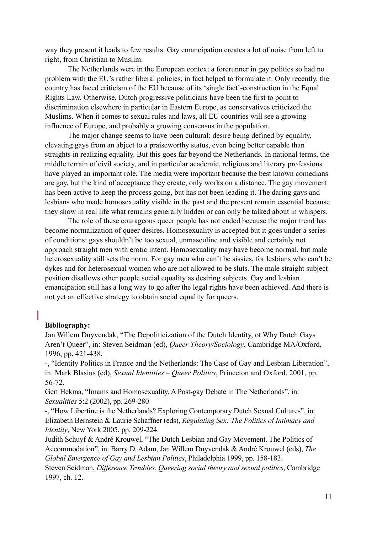way they present it leads to few results. Gay emancipation creates a lot of noise from left to right, from Christian to Muslim.

The Netherlands were in the European context a forerunner in gay politics so had no problem with the EU's rather liberal policies, in fact helped to formulate it. Only recently, the country has faced criticism of the EU because of its 'single fact'-construction in the Equal Rights Law. Otherwise, Dutch progressive politicians have been the first to point to discrimination elsewhere in particular in Eastern Europe, as conservatives criticized the Muslims. When it comes to sexual rules and laws, all EU countries will see a growing influence of Europe, and probably a growing consensus in the population.

The major change seems to have been cultural: desire being defined by equality, elevating gays from an abject to a praiseworthy status, even being better capable than straights in realizing equality. But this goes far beyond the Netherlands. In national terms, the middle terrain of civil society, and in particular academic, religious and literary professions have played an important role. The media were important because the best known comedians are gay, but the kind of acceptance they create, only works on a distance. The gay movement has been active to keep the process going, but has not been leading it. The daring gays and lesbians who made homosexuality visible in the past and the present remain essential because they show in real life what remains generally hidden or can only be talked about in whispers.

The role of these courageous queer people has not ended because the major trend has become normalization of queer desires. Homosexuality is accepted but it goes under a series of conditions: gays shouldn't be too sexual, unmasculine and visible and certainly not approach straight men with erotic intent. Homosexuality may have become normal, but male heterosexuality still sets the norm. For gay men who can't be sissies, for lesbians who can't be dykes and for heterosexual women who are not allowed to be sluts. The male straight subject position disallows other people social equality as desiring subjects. Gay and lesbian emancipation still has a long way to go after the legal rights have been achieved. And there is not yet an effective strategy to obtain social equality for queers.

# **Bibliography:**

Jan Willem Duyvendak, "The Depoliticization of the Dutch Identity, ot Why Dutch Gays Aren't Queer", in: Steven Seidman (ed), *Queer Theory/Sociology*, Cambridge MA/Oxford, 1996, pp. 421-438.

-, "Identity Politics in France and the Netherlands: The Case of Gay and Lesbian Liberation", in: Mark Blasius (ed), *Sexual Identities – Queer Politics*, Princeton and Oxford, 2001, pp. 56-72.

Gert Hekma, "Imams and Homosexuality. A Post-gay Debate in The Netherlands", in: *Sexualities* 5:2 (2002), pp. 269-280

-, "How Libertine is the Netherlands? Exploring Contemporary Dutch Sexual Cultures", in: Elizabeth Bernstein & Laurie Schaffner (eds), *Regulating Sex: The Politics of Intimacy and Identity*, New York 2005, pp. 209-224.

Judith Schuyf & André Krouwel, "The Dutch Lesbian and Gay Movement. The Politics of Accommodation", in: Barry D. Adam, Jan Willem Duyvendak & André Krouwel (eds), *The Global Emergence of Gay and Lesbian Politics*, Philadelphia 1999, pp. 158-183.

Steven Seidman, *Difference Troubles. Queering social theory and sexual politics*, Cambridge 1997, ch. 12.